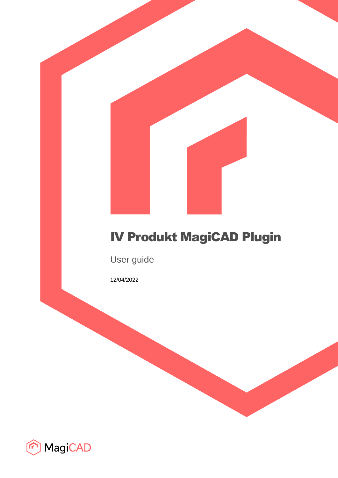# IV Produkt MagiCAD Plugin

User guide

12/04/2022

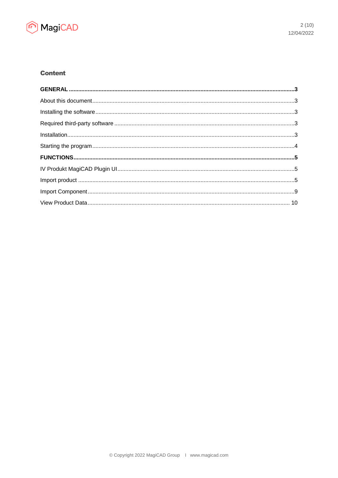

# **Content**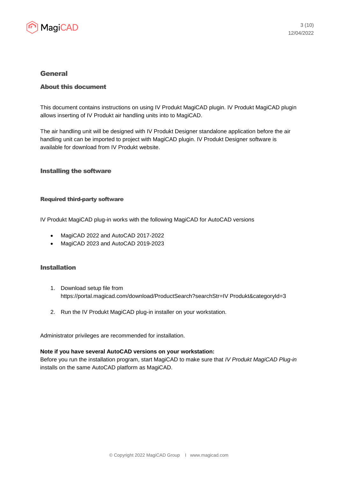

# General

## About this document

This document contains instructions on using IV Produkt MagiCAD plugin. IV Produkt MagiCAD plugin allows inserting of IV Produkt air handling units into to MagiCAD.

The air handling unit will be designed with IV Produkt Designer standalone application before the air handling unit can be imported to project with MagiCAD plugin. IV Produkt Designer software is available for download from IV Produkt website.

## Installing the software

#### Required third-party software

IV Produkt MagiCAD plug-in works with the following MagiCAD for AutoCAD versions

- MagiCAD 2022 and AutoCAD 2017-2022
- MagiCAD 2023 and AutoCAD 2019-2023

## Installation

- 1. Download setup file from https://portal.magicad.com/download/ProductSearch?searchStr=IV Produkt&categoryId=3
- 2. Run the IV Produkt MagiCAD plug-in installer on your workstation.

Administrator privileges are recommended for installation.

#### **Note if you have several AutoCAD versions on your workstation:**

Before you run the installation program, start MagiCAD to make sure that *IV Produkt MagiCAD Plug-in* installs on the same AutoCAD platform as MagiCAD.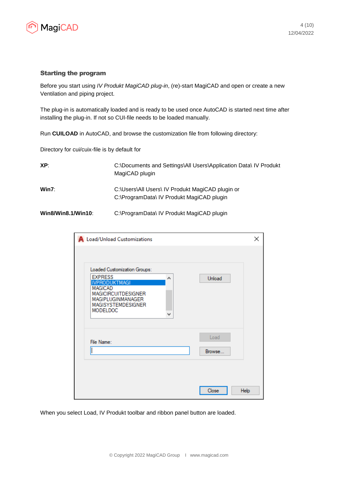

#### Starting the program

Before you start using *IV Produkt MagiCAD plug-in*, (re)-start MagiCAD and open or create a new Ventilation and piping project.

The plug-in is automatically loaded and is ready to be used once AutoCAD is started next time after installing the plug-in. If not so CUI-file needs to be loaded manually.

Run **CUILOAD** in AutoCAD, and browse the customization file from following directory:

Directory for cui/cuix-file is by default for

| XP:                       | C:\Documents and Settings\All Users\Application Data\ IV Produkt<br>MagiCAD plugin            |  |  |
|---------------------------|-----------------------------------------------------------------------------------------------|--|--|
| Win7:                     | C:\Users\All Users\ IV Produkt MagiCAD plugin or<br>C:\ProgramData\ IV Produkt MagiCAD plugin |  |  |
| <b>Win8/Win8.1/Win10:</b> | C:\ProgramData\ IV Produkt MagiCAD plugin                                                     |  |  |

| A Load/Unload Customizations                                                                                                                                                                   |                | ×    |
|------------------------------------------------------------------------------------------------------------------------------------------------------------------------------------------------|----------------|------|
| Loaded Customization Groups:<br><b>EXPRESS</b><br>۸<br><b>IVPRODUKTMAGI</b><br><b>MAGICAD</b><br><b>MAGICIRCUITDESIGNER</b><br>MAGIPLUGINMANAGER<br>MAGISYSTEMDESIGNER<br><b>MODELDOC</b><br>v | Unload         |      |
| File Name:                                                                                                                                                                                     | Load<br>Browse |      |
|                                                                                                                                                                                                | Close          | Help |

When you select Load, IV Produkt toolbar and ribbon panel button are loaded.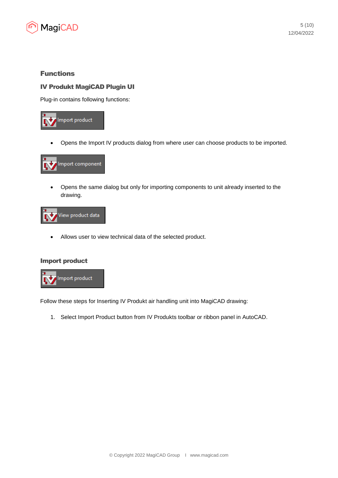

# Functions

## IV Produkt MagiCAD Plugin UI

Plug-in contains following functions:



• Opens the Import IV products dialog from where user can choose products to be imported.



• Opens the same dialog but only for importing components to unit already inserted to the drawing.



• Allows user to view technical data of the selected product.

#### Import product



Follow these steps for Inserting IV Produkt air handling unit into MagiCAD drawing:

1. Select Import Product button from IV Produkts toolbar or ribbon panel in AutoCAD.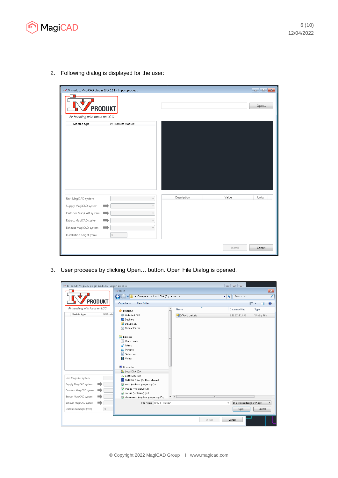

2. Following dialog is displayed for the user:



3. User proceeds by clicking Open… button. Open File Dialog is opened.

| 37 IV Produkt MaqiCAD pluqin 2014.12.1 - Import product |                                                      |                 | $\Box$ $\Box$                             |                          |
|---------------------------------------------------------|------------------------------------------------------|-----------------|-------------------------------------------|--------------------------|
|                                                         | iv Open                                              |                 |                                           | $\overline{\mathbf{x}}$  |
|                                                         | $\bullet$<br>▶ Computer ▶ Local Disk (C:) ▶ test ▶   |                 | $\bullet$ $\bullet$ $\bullet$ Search test | م                        |
| PRODUKT                                                 | New folder<br>Organize $\blacktriangledown$          |                 |                                           | <b>距</b><br>0<br>НI      |
| Air handling with focus on LCC                          | $\blacktriangle$<br><b>X</b> Favorites               | Name            | Date modified                             | Type                     |
| Module type<br>IV Produ                                 | Autodesk 360                                         | IV AHU Unit.zip | 8.12.2014 15:02                           | WinZip File              |
|                                                         | Desktop                                              |                 |                                           |                          |
|                                                         | Downloads<br>图 Recent Places                         |                 |                                           |                          |
|                                                         |                                                      |                 |                                           |                          |
|                                                         | Libraries                                            |                 |                                           |                          |
|                                                         | Documents<br>Music                                   |                 |                                           |                          |
|                                                         | Pictures                                             |                 |                                           |                          |
|                                                         | Subversion                                           |                 |                                           |                          |
|                                                         | Videos                                               |                 |                                           |                          |
|                                                         |                                                      |                 |                                           |                          |
|                                                         | Computer<br>Local Disk (C:)                          |                 |                                           |                          |
|                                                         | Local Disk (D:)                                      |                 |                                           |                          |
| Unit MagiCAD system                                     | DVD RW Drive (E:) User Manual                        |                 |                                           |                          |
| Supply MagiCAD system                                   | nova (\\visma.progman) (J:)                          |                 |                                           |                          |
| Outdoor MagiCAD system                                  | Public (\\fileserv) (M:)<br>secure (\\fileserv) (N:) |                 |                                           |                          |
| Extract MagiCAD system                                  | documents (\\prime.progman) (0:)                     | $\rightarrow$   | $\mathbf{m}$                              |                          |
| Exhaust MagiCAD system                                  | File name: IV AHU Unit.zip                           |                 | IV produkt designer (*.zip)               | $\overline{\phantom{a}}$ |
| $\circ$<br>Installation height (mm)                     |                                                      |                 | Open                                      | Cancel                   |
|                                                         |                                                      |                 | Install<br>Cancel                         |                          |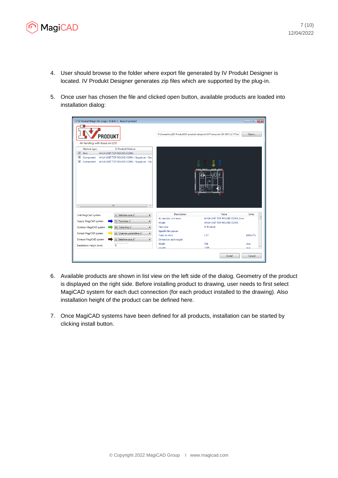

- 4. User should browse to the folder where export file generated by IV Produkt Designer is located. IV Produkt Designer generates zip files which are supported by the plug-in.
- 5. Once user has chosen the file and clicked open button, available products are loaded into installation dialog:

| iv IV Produkt MagiCAD plugin 2014.12.1 - Import product                                                                                                              |                                                                            | $\Box$ e x  |
|----------------------------------------------------------------------------------------------------------------------------------------------------------------------|----------------------------------------------------------------------------|-------------|
| PRODUKT                                                                                                                                                              | P:\Consulting\IV Produkt\IV produkt desginer\IVP desginer G3 305.1.2.7\Tes | Open        |
| Air handling with focus on LCC                                                                                                                                       |                                                                            |             |
| <b>IV Produkt Module</b><br>Module type                                                                                                                              |                                                                            |             |
| $\overline{\mathsf{v}}$<br>Unit<br>AHU4 UNIT TOP ROUND CONN                                                                                                          |                                                                            |             |
| $\overline{\mathcal{A}}$<br>AHU4 UNIT TOP ROUND CONN - Supply air - Da<br>Component<br>$\blacktriangledown$<br>Component AHU4 UNIT TOP ROUND CONN - Supply air - Sor |                                                                            |             |
| m.                                                                                                                                                                   |                                                                            |             |
|                                                                                                                                                                      |                                                                            |             |
| J1 "Jäteilma ulos 1"<br>Unit MagiCAD system<br>$\cdot$                                                                                                               | Description<br>Value                                                       | Units       |
|                                                                                                                                                                      | Air handler unit term<br>AHU4 UNIT TOP ROUND CONN, Envi:                   |             |
| T1 "Tuloilma 1"<br>Supply MagiCAD system                                                                                                                             | Model<br>AHU4 UNIT TOP ROUND CONN                                          |             |
| U1 "Ulkoilma 1"<br>Outdoor MagiCAD system<br>۰                                                                                                                       | Fabricate<br><b>IV Produkt</b>                                             |             |
| L1 "Likainen poistoilma 1"                                                                                                                                           | Specific fan power                                                         |             |
| Extract MagiCAD system                                                                                                                                               | <b>Total for AHU</b><br>1.57                                               | $kW/m^3/s$  |
| J1 "Jäteilma ulos 1"<br>Exhaust MagiCAD system                                                                                                                       | Dimension and weight                                                       |             |
| $\mathbf 0$<br>Installation height (mm)                                                                                                                              | Width<br>748                                                               | mm          |
|                                                                                                                                                                      | Hainht<br>1205                                                             | <b>DOM:</b> |
|                                                                                                                                                                      | Install                                                                    | Cancel      |

- 6. Available products are shown in list view on the left side of the dialog. Geometry of the product is displayed on the right side. Before installing product to drawing, user needs to first select MagiCAD system for each duct connection (for each product installed to the drawing). Also installation height of the product can be defined here.
- 7. Once MagiCAD systems have been defined for all products, installation can be started by clicking install button.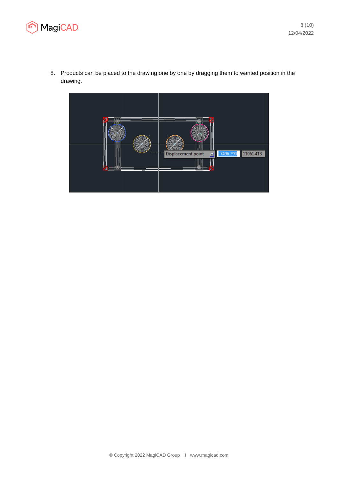



8. Products can be placed to the drawing one by one by dragging them to wanted position in the drawing.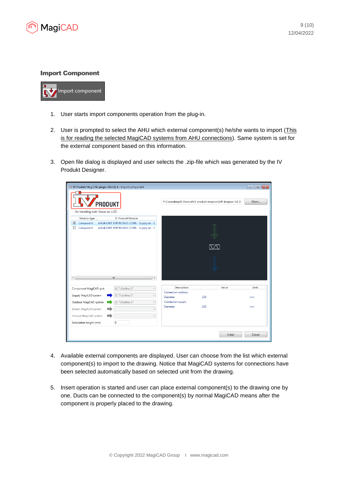

#### Import Component



- 1. User starts import components operation from the plug-in.
- 2. User is prompted to select the AHU which external component(s) he/she wants to import (This is for reading the selected MagiCAD systems from AHU connections). Same system is set for the external component based on this information.
- 3. Open file dialog is displayed and user selects the .zip-file which was generated by the IV Produkt Designer.

| iv IV Produkt MagiCAD plugin 2014.12.1 - Import component                                                                                                                   |                                                                                    | $\mathbf{x}$<br>$\overline{\phantom{a}}$ |
|-----------------------------------------------------------------------------------------------------------------------------------------------------------------------------|------------------------------------------------------------------------------------|------------------------------------------|
| PRODUKT<br>Air handling with focus on LCC                                                                                                                                   | P:\Consulting\IV Produkt\IV produkt desginer\IVP desginer G3 3(                    | Open                                     |
| IV Produkt Module<br>Module type<br>$\overline{v}$<br>AHU4 UNIT TOP ROUND CONN - Supply air - [<br>Component<br>AHU4 UNIT TOP ROUND CONN - Supply air - S<br>Component<br>c |                                                                                    |                                          |
| m.<br>$\epsilon$                                                                                                                                                            |                                                                                    |                                          |
| U1 "Ulkoilma 1"<br>Component MagiCAD systi<br>T1 "Tuloilma 1"<br>Supply MagiCAD system<br>U1 "Ulkoilma 1"<br>Outdoor MagiCAD system                                         | Description<br>Value<br>Connection outdoor<br>250<br>Diameter<br>Connection supply | Units<br>mm                              |
| Extract MagiCAD system<br>Exhaust MagiCAD system<br>0<br>Installation height (mm)                                                                                           | 250<br><b>Diameter</b>                                                             | mm                                       |
|                                                                                                                                                                             | Install                                                                            | Cancel                                   |

- 4. Available external components are displayed. User can choose from the list which external component(s) to import to the drawing. Notice that MagiCAD systems for connections have been selected automatically based on selected unit from the drawing.
- 5. Insert operation is started and user can place external component(s) to the drawing one by one. Ducts can be connected to the component(s) by normal MagiCAD means after the component is properly placed to the drawing.